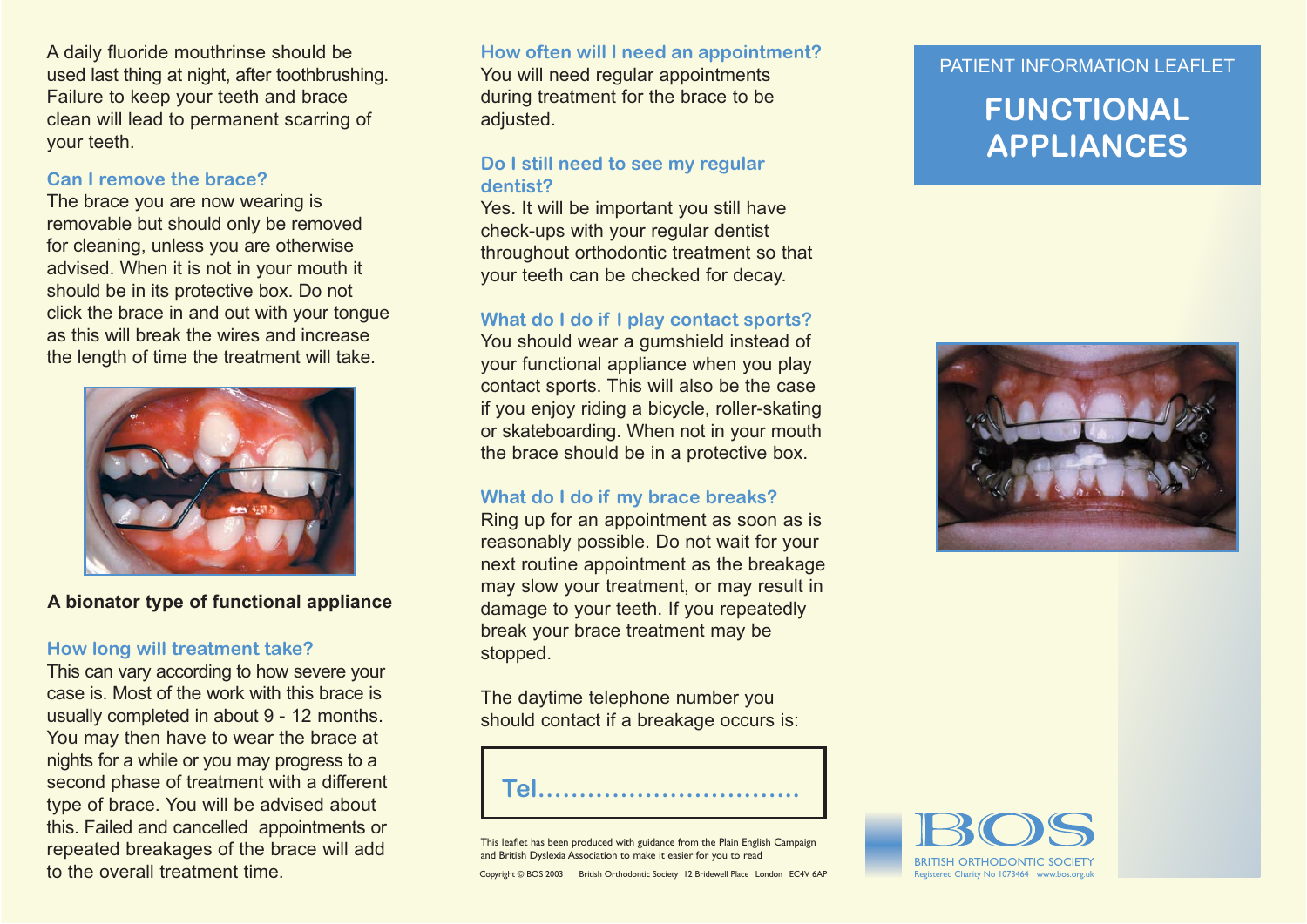A daily fluoride mouthrinse should be used last thing at night, after toothbrushing. Failure to keep your teeth and brace clean will lead to permanent scarring of your teeth.

#### **Can I remove the brace?**

The brace you are now wearing is removable but should only be removed for cleaning, unless you are otherwise advised. When it is not in your mouth it should be in its protective box. Do not click the brace in and out with your tongue as this will break the wires and increase the length of time the treatment will take.



**A bionator type of functional appliance**

### **How long will treatment take?**

This can vary according to how severe your case is. Most of the work with this brace is usually completed in about 9 - 12 months. You may then have to wear the brace at nights for a while or you may progress to a second phase of treatment with a different type of brace. You will be advised about this. Failed and cancelled appointments or repeated breakages of the brace will add to the overall treatment time.

# **How often will I need an appointment?** You will need regular appointments

during treatment for the brace to be adjusted.

## **Do I still need to see my regular dentist?**

Yes. It will be important you still have check-ups with your regular dentist throughout orthodontic treatment so that your teeth can be checked for decay.

### **What do I do if I play contact sports?**

You should wear a gumshield instead of your functional appliance when you play contact sports. This will also be the case if you enjoy riding a bicycle, roller-skating or skateboarding. When not in your mouth the brace should be in a protective box.

### **What do I do if my brace breaks?**

Ring up for an appointment as soon as is reasonably possible. Do not wait for your next routine appointment as the breakage may slow your treatment, or may result in damage to your teeth. If you repeatedly break your brace treatment may be stopped.

The daytime telephone number you should contact if a breakage occurs is:

**Tel…………………………..**

This leaflet has been produced with guidance from the Plain English Campaign and British Dyslexia Association to make it easier for you to read

Copyright © BOS 2003 British Orthodontic Society 12 Bridewell Place London EC4V 6AP

### PATIFNT INFORMATION I FAFI FT

# **FUNCTIONAL APPLIANCES**